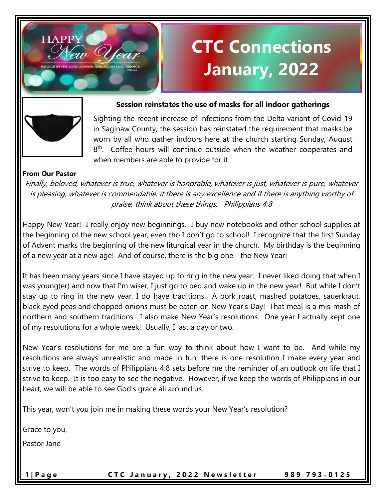



**HAPPY** 

### **Session reinstates the use of masks for all indoor gatherings**

Sighting the recent increase of infections from the Delta variant of Covid-19 in Saginaw County, the session has reinstated the requirement that masks be worn by all who gather indoors here at the church starting Sunday, August 8<sup>th</sup>. Coffee hours will continue outside when the weather cooperates and when members are able to provide for it.

### **From Our Pastor**

Finally, beloved, whatever is true, whatever is honorable, whatever is just, whatever is pure, whatever is pleasing, whatever is commendable, if there is any excellence and if there is anything worthy of praise, think about these things. Philippians 4:8

Happy New Year! I really enjoy new beginnings. I buy new notebooks and other school supplies at the beginning of the new school year, even tho I don't go to school! I recognize that the first Sunday of Advent marks the beginning of the new liturgical year in the church. My birthday is the beginning of a new year at a new age! And of course, there is the big one - the New Year!

It has been many years since I have stayed up to ring in the new year. I never liked doing that when I was young(er) and now that I'm wiser, I just go to bed and wake up in the new year! But while I don't stay up to ring in the new year, I do have traditions. A pork roast, mashed potatoes, sauerkraut, black eyed peas and chopped onions must be eaten on New Year's Day! That meal is a mis-mash of northern and southern traditions. I also make New Year's resolutions. One year I actually kept one of my resolutions for a whole week! Usually, I last a day or two.

New Year's resolutions for me are a fun way to think about how I want to be. And while my resolutions are always unrealistic and made in fun, there is one resolution I make every year and strive to keep. The words of Philippians 4:8 sets before me the reminder of an outlook on life that I strive to keep. It is too easy to see the negative. However, if we keep the words of Philippians in our heart, we will be able to see God's grace all around us.

This year, won't you join me in making these words your New Year's resolution?

Grace to you,

Pastor Jane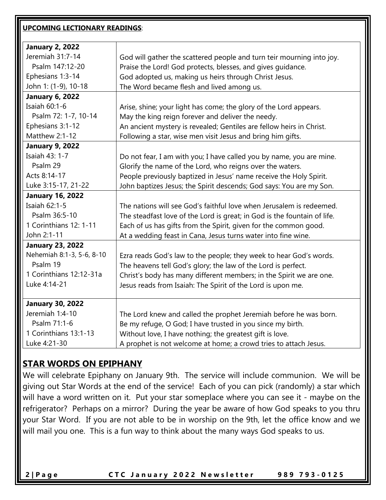| <b>UPCOMING LECTIONARY READINGS:</b> |                                                                          |  |  |  |
|--------------------------------------|--------------------------------------------------------------------------|--|--|--|
| <b>January 2, 2022</b>               |                                                                          |  |  |  |
| Jeremiah 31:7-14                     | God will gather the scattered people and turn teir mourning into joy.    |  |  |  |
| Psalm 147:12-20                      | Praise the Lord! God protects, blesses, and gives guidance.              |  |  |  |
| Ephesians 1:3-14                     | God adopted us, making us heirs through Christ Jesus.                    |  |  |  |
| John 1: (1-9), 10-18                 | The Word became flesh and lived among us.                                |  |  |  |
| <b>January 6, 2022</b>               |                                                                          |  |  |  |
| Isaiah $60:1-6$                      | Arise, shine; your light has come; the glory of the Lord appears.        |  |  |  |
| Psalm 72: 1-7, 10-14                 | May the king reign forever and deliver the needy.                        |  |  |  |
| Ephesians 3:1-12                     | An ancient mystery is revealed; Gentiles are fellow heirs in Christ.     |  |  |  |
| Matthew 2:1-12                       | Following a star, wise men visit Jesus and bring him gifts.              |  |  |  |
| <b>January 9, 2022</b>               |                                                                          |  |  |  |
| Isaiah 43: 1-7                       | Do not fear, I am with you; I have called you by name, you are mine.     |  |  |  |
| Psalm 29                             | Glorify the name of the Lord, who reigns over the waters.                |  |  |  |
| Acts 8:14-17                         | People previously baptized in Jesus' name receive the Holy Spirit.       |  |  |  |
| Luke 3:15-17, 21-22                  | John baptizes Jesus; the Spirit descends; God says: You are my Son.      |  |  |  |
| <b>January 16, 2022</b>              |                                                                          |  |  |  |
| Isaiah 62:1-5                        | The nations will see God's faithful love when Jerusalem is redeemed.     |  |  |  |
| Psalm 36:5-10                        | The steadfast love of the Lord is great; in God is the fountain of life. |  |  |  |
| 1 Corinthians 12: 1-11               | Each of us has gifts from the Spirit, given for the common good.         |  |  |  |
| John 2:1-11                          | At a wedding feast in Cana, Jesus turns water into fine wine.            |  |  |  |
| <b>January 23, 2022</b>              |                                                                          |  |  |  |
| Nehemiah 8:1-3, 5-6, 8-10            | Ezra reads God's law to the people; they week to hear God's words.       |  |  |  |
| Psalm 19                             | The heavens tell God's glory; the law of the Lord is perfect.            |  |  |  |
| 1 Corinthians 12:12-31a              | Christ's body has many different members; in the Spirit we are one.      |  |  |  |
| Luke 4:14-21                         | Jesus reads from Isaiah: The Spirit of the Lord is upon me.              |  |  |  |
| <b>January 30, 2022</b>              |                                                                          |  |  |  |
| Jeremiah 1:4-10                      | The Lord knew and called the prophet Jeremiah before he was born.        |  |  |  |
| Psalm 71:1-6                         | Be my refuge, O God; I have trusted in you since my birth.               |  |  |  |
| 1 Corinthians 13:1-13                | Without love, I have nothing; the greatest gift is love.                 |  |  |  |
| Luke 4:21-30                         | A prophet is not welcome at home; a crowd tries to attach Jesus.         |  |  |  |

## **STAR WORDS ON EPIPHANY**

We will celebrate Epiphany on January 9th. The service will include communion. We will be giving out Star Words at the end of the service! Each of you can pick (randomly) a star which will have a word written on it. Put your star someplace where you can see it - maybe on the refrigerator? Perhaps on a mirror? During the year be aware of how God speaks to you thru your Star Word. If you are not able to be in worship on the 9th, let the office know and we will mail you one. This is a fun way to think about the many ways God speaks to us.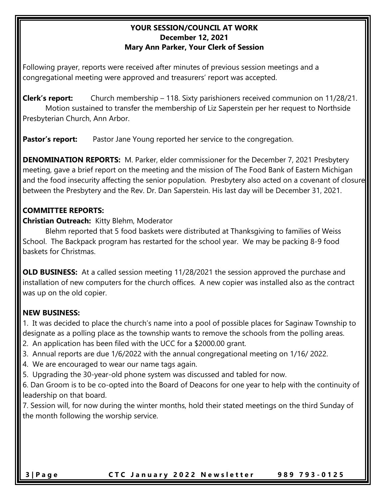### **YOUR SESSION/COUNCIL AT WORK December 12, 2021 Mary Ann Parker, Your Clerk of Session**

Following prayer, reports were received after minutes of previous session meetings and a congregational meeting were approved and treasurers' report was accepted.

**Clerk's report:** Church membership – 118. Sixty parishioners received communion on 11/28/21. Motion sustained to transfer the membership of Liz Saperstein per her request to Northside Presbyterian Church, Ann Arbor.

**Pastor's report:** Pastor Jane Young reported her service to the congregation.

**DENOMINATION REPORTS:** M. Parker, elder commissioner for the December 7, 2021 Presbytery meeting, gave a brief report on the meeting and the mission of The Food Bank of Eastern Michigan and the food insecurity affecting the senior population. Presbytery also acted on a covenant of closure between the Presbytery and the Rev. Dr. Dan Saperstein. His last day will be December 31, 2021.

## **COMMITTEE REPORTS:**

**Christian Outreach:** Kitty Blehm, Moderator

Blehm reported that 5 food baskets were distributed at Thanksgiving to families of Weiss School. The Backpack program has restarted for the school year. We may be packing 8-9 food baskets for Christmas.

**OLD BUSINESS:** At a called session meeting 11/28/2021 the session approved the purchase and installation of new computers for the church offices. A new copier was installed also as the contract was up on the old copier.

## **NEW BUSINESS:**

1.It was decided to place the church's name into a pool of possible places for Saginaw Township to designate as a polling place as the township wants to remove the schools from the polling areas.

- 2. An application has been filed with the UCC for a \$2000.00 grant.
- 3. Annual reports are due 1/6/2022 with the annual congregational meeting on 1/16/ 2022.
- 4. We are encouraged to wear our name tags again.
- 5. Upgrading the 30-year-old phone system was discussed and tabled for now.

6. Dan Groom is to be co-opted into the Board of Deacons for one year to help with the continuity of leadership on that board.

7. Session will, for now during the winter months, hold their stated meetings on the third Sunday of the month following the worship service.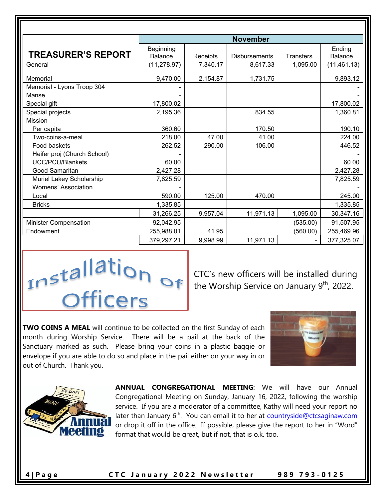|                             | <b>November</b>             |          |                      |                  |                          |
|-----------------------------|-----------------------------|----------|----------------------|------------------|--------------------------|
| <b>TREASURER'S REPORT</b>   | Beginning<br><b>Balance</b> | Receipts | <b>Disbursements</b> | <b>Transfers</b> | Ending<br><b>Balance</b> |
| General                     | (11, 278.97)                | 7,340.17 | 8,617.33             | 1,095.00         | (11, 461.13)             |
| Memorial                    | 9,470.00                    | 2,154.87 | 1,731.75             |                  | 9,893.12                 |
| Memorial - Lyons Troop 304  |                             |          |                      |                  |                          |
| Manse                       |                             |          |                      |                  |                          |
| Special gift                | 17,800.02                   |          |                      |                  | 17,800.02                |
| Special projects            | 2,195.36                    |          | 834.55               |                  | 1,360.81                 |
| <b>Mission</b>              |                             |          |                      |                  |                          |
| Per capita                  | 360.60                      |          | 170.50               |                  | 190.10                   |
| Two-coins-a-meal            | 218.00                      | 47.00    | 41.00                |                  | 224.00                   |
| Food baskets                | 262.52                      | 290.00   | 106.00               |                  | 446.52                   |
| Heifer proj (Church School) |                             |          |                      |                  |                          |
| <b>UCC/PCU/Blankets</b>     | 60.00                       |          |                      |                  | 60.00                    |
| Good Samaritan              | 2,427.28                    |          |                      |                  | 2,427.28                 |
| Muriel Lakey Scholarship    | 7,825.59                    |          |                      |                  | 7,825.59                 |
| Womens' Association         |                             |          |                      |                  |                          |
| Local                       | 590.00                      | 125.00   | 470.00               |                  | 245.00                   |
| <b>Bricks</b>               | 1,335.85                    |          |                      |                  | 1,335.85                 |
|                             | 31,266.25                   | 9,957.04 | 11,971.13            | 1,095.00         | 30,347.16                |
| Minister Compensation       | 92,042.95                   |          |                      | (535.00)         | 91,507.95                |
| Endowment                   | 255,988.01                  | 41.95    |                      | (560.00)         | 255,469.96               |
|                             | 379,297.21                  | 9,998.99 | 11,971.13            |                  | 377,325.07               |



CTC's new officers will be installed during the Worship Service on January 9<sup>th</sup>, 2022.

**TWO COINS A MEAL** will continue to be collected on the first Sunday of each month during Worship Service. There will be a pail at the back of the Sanctuary marked as such. Please bring your coins in a plastic baggie or envelope if you are able to do so and place in the pail either on your way in or out of Church. Thank you.





**ANNUAL CONGREGATIONAL MEETING**: We will have our Annual Congregational Meeting on Sunday, January 16, 2022, following the worship service. If you are a moderator of a committee, Kathy will need your report no later than January 6<sup>th</sup>. You can email it to her at **countryside@ctcsaginaw.com** or drop it off in the office. If possible, please give the report to her in "Word" format that would be great, but if not, that is o.k. too.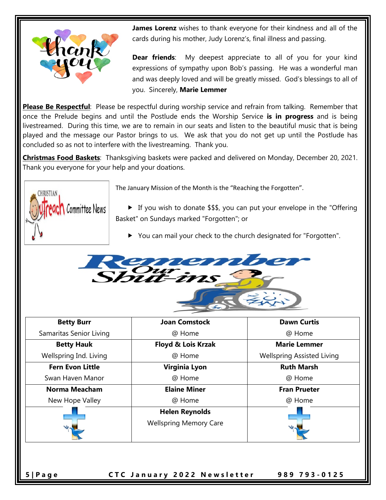

**James Lorenz** wishes to thank everyone for their kindness and all of the cards during his mother, Judy Lorenz's, final illness and passing.

**Dear friends**: My deepest appreciate to all of you for your kind expressions of sympathy upon Bob's passing. He was a wonderful man and was deeply loved and will be greatly missed. God's blessings to all of you. Sincerely, **Marie Lemmer**

**Please Be Respectful**: Please be respectful during worship service and refrain from talking. Remember that once the Prelude begins and until the Postlude ends the Worship Service **is in progress** and is being livestreamed. During this time, we are to remain in our seats and listen to the beautiful music that is being played and the message our Pastor brings to us. We ask that you do not get up until the Postlude has concluded so as not to interfere with the livestreaming. Thank you.

**Christmas Food Baskets**: Thanksgiving baskets were packed and delivered on Monday, December 20, 2021. Thank you everyone for your help and your doations.



The January Mission of the Month is the "Reaching the Forgotten".

 If you wish to donate \$\$\$, you can put your envelope in the "Offering Basket" on Sundays marked "Forgotten"; or

You can mail your check to the church designated for "Forgotten".



| <b>Betty Burr</b>       | <b>Joan Comstock</b>                                   | <b>Dawn Curtis</b>                |
|-------------------------|--------------------------------------------------------|-----------------------------------|
| Samaritas Senior Living | @ Home                                                 | @ Home                            |
| <b>Betty Hauk</b>       | <b>Floyd &amp; Lois Krzak</b>                          | <b>Marie Lemmer</b>               |
| Wellspring Ind. Living  | @ Home                                                 | <b>Wellspring Assisted Living</b> |
| <b>Fern Evon Little</b> | <b>Virginia Lyon</b>                                   | <b>Ruth Marsh</b>                 |
| Swan Haven Manor        | @ Home                                                 | @ Home                            |
| Norma Meacham           | <b>Elaine Miner</b>                                    | <b>Fran Prueter</b>               |
| New Hope Valley         | @ Home                                                 | @ Home                            |
|                         | <b>Helen Reynolds</b><br><b>Wellspring Memory Care</b> |                                   |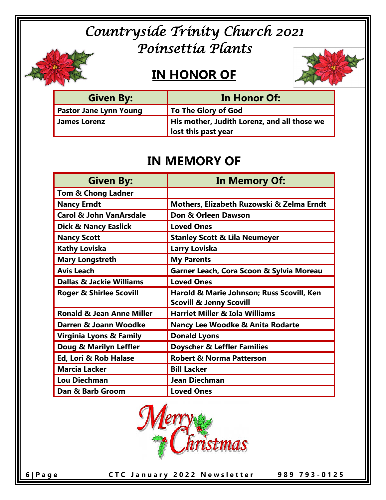# *Countryside Trinity Church 2021 Poinsettia Plants*

## **IN HONOR OF**



| <b>Given By:</b>              | In Honor Of:                                |
|-------------------------------|---------------------------------------------|
| <b>Pastor Jane Lynn Young</b> | To The Glory of God                         |
| <b>James Lorenz</b>           | His mother, Judith Lorenz, and all those we |
|                               | lost this past year                         |

## **IN MEMORY OF**

| <b>Given By:</b>                     | In Memory Of:                               |
|--------------------------------------|---------------------------------------------|
| <b>Tom &amp; Chong Ladner</b>        |                                             |
| <b>Nancy Erndt</b>                   | Mothers, Elizabeth Ruzowski & Zelma Erndt   |
| <b>Carol &amp; John VanArsdale</b>   | Don & Orleen Dawson                         |
| <b>Dick &amp; Nancy Easlick</b>      | <b>Loved Ones</b>                           |
| <b>Nancy Scott</b>                   | <b>Stanley Scott &amp; Lila Neumeyer</b>    |
| <b>Kathy Loviska</b>                 | <b>Larry Loviska</b>                        |
| <b>Mary Longstreth</b>               | <b>My Parents</b>                           |
| <b>Avis Leach</b>                    | Garner Leach, Cora Scoon & Sylvia Moreau    |
| <b>Dallas &amp; Jackie Williams</b>  | <b>Loved Ones</b>                           |
| <b>Roger &amp; Shirlee Scovill</b>   | Harold & Marie Johnson; Russ Scovill, Ken   |
|                                      | <b>Scovill &amp; Jenny Scovill</b>          |
| <b>Ronald &amp; Jean Anne Miller</b> | <b>Harriet Miller &amp; Iola Williams</b>   |
| Darren & Joann Woodke                | <b>Nancy Lee Woodke &amp; Anita Rodarte</b> |
| <b>Virginia Lyons &amp; Family</b>   | <b>Donald Lyons</b>                         |
| Doug & Marilyn Leffler               | <b>Doyscher &amp; Leffler Families</b>      |
| Ed, Lori & Rob Halase                | <b>Robert &amp; Norma Patterson</b>         |
| <b>Marcia Lacker</b>                 | <b>Bill Lacker</b>                          |
| <b>Lou Diechman</b>                  | Jean Diechman                               |
| Dan & Barb Groom                     | <b>Loved Ones</b>                           |

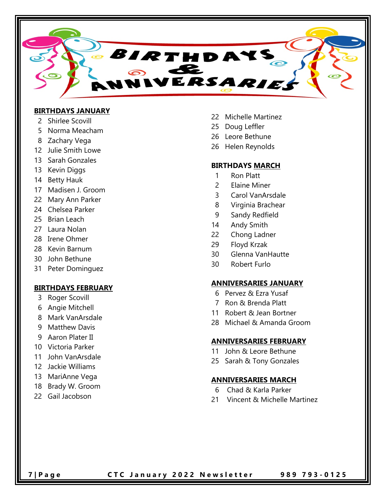

### **BIRTHDAYS JANUARY**

- 2 Shirlee Scovill
- 5 Norma Meacham
- 8 Zachary Vega
- 12 Julie Smith Lowe
- 13 Sarah Gonzales
- 13 Kevin Diggs
- 14 Betty Hauk
- 17 Madisen J. Groom
- 22 Mary Ann Parker
- 24 Chelsea Parker
- 25 Brian Leach
- 27 Laura Nolan
- 28 Irene Ohmer
- 28 Kevin Barnum
- 30 John Bethune
- 31 Peter Dominguez

### **BIRTHDAYS FEBRUARY**

- 3 Roger Scovill
- 6 Angie Mitchell
- 8 Mark VanArsdale
- 9 Matthew Davis
- 9 Aaron Plater II
- 10 Victoria Parker
- 11 John VanArsdale
- 12 Jackie Williams
- 13 MariAnne Vega
- 18 Brady W. Groom
- 22 Gail Jacobson
- 22 Michelle Martinez
- 25 Doug Leffler
- 26 Leore Bethune
- 26 Helen Reynolds

### **BIRTHDAYS MARCH**

- 1 Ron Platt
- 2 Elaine Miner
- 3 Carol VanArsdale
- 8 Virginia Brachear
- 9 Sandy Redfield
- 14 Andy Smith
- 22 Chong Ladner
- 29 Floyd Krzak
- 30 Glenna VanHautte
- 30 Robert Furlo

### **ANNIVERSARIES JANUARY**

- 6 Pervez & Ezra Yusaf
- 7 Ron & Brenda Platt
- 11 Robert & Jean Bortner
- 28 Michael & Amanda Groom

#### **ANNIVERSARIES FEBRUARY**

- 11 John & Leore Bethune
- 25 Sarah & Tony Gonzales

### **ANNIVERSARIES MARCH**

- 6 Chad & Karla Parker
- 21 Vincent & Michelle Martinez